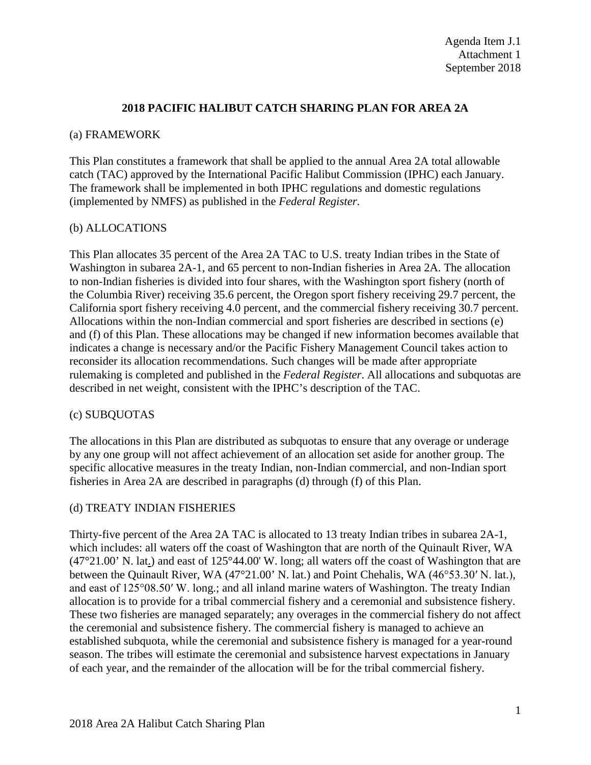## **2018 PACIFIC HALIBUT CATCH SHARING PLAN FOR AREA 2A**

#### (a) FRAMEWORK

This Plan constitutes a framework that shall be applied to the annual Area 2A total allowable catch (TAC) approved by the International Pacific Halibut Commission (IPHC) each January. The framework shall be implemented in both IPHC regulations and domestic regulations (implemented by NMFS) as published in the *Federal Register*.

## (b) ALLOCATIONS

This Plan allocates 35 percent of the Area 2A TAC to U.S. treaty Indian tribes in the State of Washington in subarea 2A-1, and 65 percent to non-Indian fisheries in Area 2A. The allocation to non-Indian fisheries is divided into four shares, with the Washington sport fishery (north of the Columbia River) receiving 35.6 percent, the Oregon sport fishery receiving 29.7 percent, the California sport fishery receiving 4.0 percent, and the commercial fishery receiving 30.7 percent. Allocations within the non-Indian commercial and sport fisheries are described in sections (e) and (f) of this Plan. These allocations may be changed if new information becomes available that indicates a change is necessary and/or the Pacific Fishery Management Council takes action to reconsider its allocation recommendations. Such changes will be made after appropriate rulemaking is completed and published in the *Federal Register*. All allocations and subquotas are described in net weight, consistent with the IPHC's description of the TAC.

## (c) SUBQUOTAS

The allocations in this Plan are distributed as subquotas to ensure that any overage or underage by any one group will not affect achievement of an allocation set aside for another group. The specific allocative measures in the treaty Indian, non-Indian commercial, and non-Indian sport fisheries in Area 2A are described in paragraphs (d) through (f) of this Plan.

## (d) TREATY INDIAN FISHERIES

Thirty-five percent of the Area 2A TAC is allocated to 13 treaty Indian tribes in subarea 2A-1, which includes: all waters off the coast of Washington that are north of the Quinault River, WA  $(47^{\circ}21.00^{\circ}$  N. lat.) and east of 125°44.00' W. long; all waters off the coast of Washington that are between the Quinault River, WA (47°21.00' N. lat.) and Point Chehalis, WA (46°53.30′ N. lat.), and east of 125°08.50′ W. long.; and all inland marine waters of Washington. The treaty Indian allocation is to provide for a tribal commercial fishery and a ceremonial and subsistence fishery. These two fisheries are managed separately; any overages in the commercial fishery do not affect the ceremonial and subsistence fishery. The commercial fishery is managed to achieve an established subquota, while the ceremonial and subsistence fishery is managed for a year-round season. The tribes will estimate the ceremonial and subsistence harvest expectations in January of each year, and the remainder of the allocation will be for the tribal commercial fishery.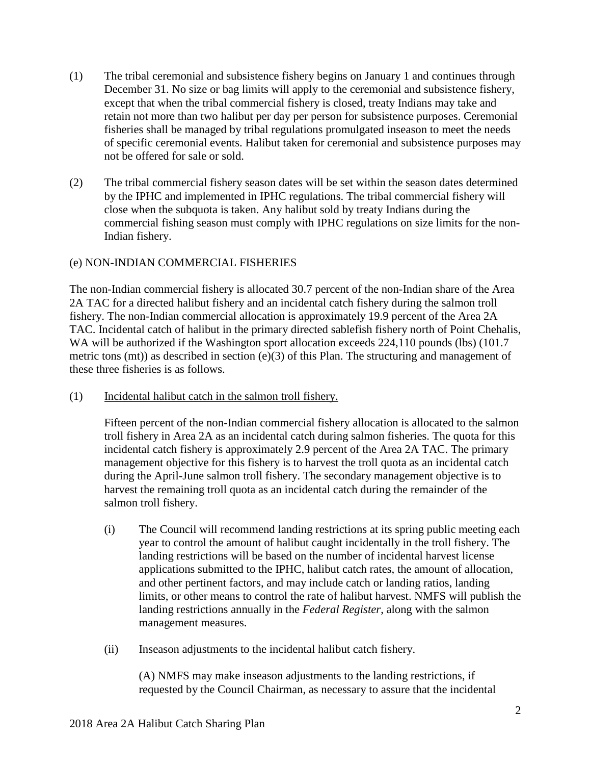- (1) The tribal ceremonial and subsistence fishery begins on January 1 and continues through December 31. No size or bag limits will apply to the ceremonial and subsistence fishery, except that when the tribal commercial fishery is closed, treaty Indians may take and retain not more than two halibut per day per person for subsistence purposes. Ceremonial fisheries shall be managed by tribal regulations promulgated inseason to meet the needs of specific ceremonial events. Halibut taken for ceremonial and subsistence purposes may not be offered for sale or sold.
- (2) The tribal commercial fishery season dates will be set within the season dates determined by the IPHC and implemented in IPHC regulations. The tribal commercial fishery will close when the subquota is taken. Any halibut sold by treaty Indians during the commercial fishing season must comply with IPHC regulations on size limits for the non-Indian fishery.

# (e) NON-INDIAN COMMERCIAL FISHERIES

The non-Indian commercial fishery is allocated 30.7 percent of the non-Indian share of the Area 2A TAC for a directed halibut fishery and an incidental catch fishery during the salmon troll fishery. The non-Indian commercial allocation is approximately 19.9 percent of the Area 2A TAC. Incidental catch of halibut in the primary directed sablefish fishery north of Point Chehalis, WA will be authorized if the Washington sport allocation exceeds 224,110 pounds (lbs) (101.7 metric tons (mt)) as described in section (e)(3) of this Plan. The structuring and management of these three fisheries is as follows.

(1) Incidental halibut catch in the salmon troll fishery.

Fifteen percent of the non-Indian commercial fishery allocation is allocated to the salmon troll fishery in Area 2A as an incidental catch during salmon fisheries. The quota for this incidental catch fishery is approximately 2.9 percent of the Area 2A TAC. The primary management objective for this fishery is to harvest the troll quota as an incidental catch during the April-June salmon troll fishery. The secondary management objective is to harvest the remaining troll quota as an incidental catch during the remainder of the salmon troll fishery.

- (i) The Council will recommend landing restrictions at its spring public meeting each year to control the amount of halibut caught incidentally in the troll fishery. The landing restrictions will be based on the number of incidental harvest license applications submitted to the IPHC, halibut catch rates, the amount of allocation, and other pertinent factors, and may include catch or landing ratios, landing limits, or other means to control the rate of halibut harvest. NMFS will publish the landing restrictions annually in the *Federal Register*, along with the salmon management measures.
- (ii) Inseason adjustments to the incidental halibut catch fishery.

(A) NMFS may make inseason adjustments to the landing restrictions, if requested by the Council Chairman, as necessary to assure that the incidental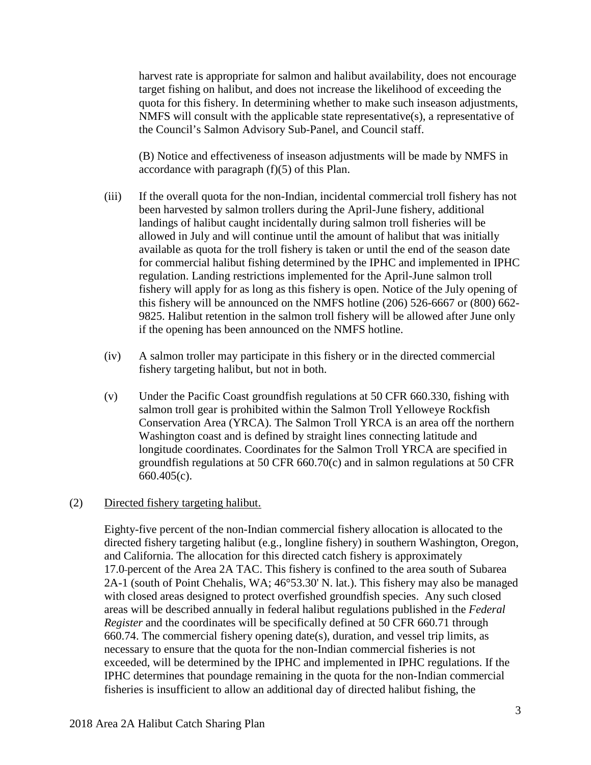harvest rate is appropriate for salmon and halibut availability, does not encourage target fishing on halibut, and does not increase the likelihood of exceeding the quota for this fishery. In determining whether to make such inseason adjustments, NMFS will consult with the applicable state representative(s), a representative of the Council's Salmon Advisory Sub-Panel, and Council staff.

(B) Notice and effectiveness of inseason adjustments will be made by NMFS in accordance with paragraph (f)(5) of this Plan.

- (iii) If the overall quota for the non-Indian, incidental commercial troll fishery has not been harvested by salmon trollers during the April-June fishery, additional landings of halibut caught incidentally during salmon troll fisheries will be allowed in July and will continue until the amount of halibut that was initially available as quota for the troll fishery is taken or until the end of the season date for commercial halibut fishing determined by the IPHC and implemented in IPHC regulation. Landing restrictions implemented for the April-June salmon troll fishery will apply for as long as this fishery is open. Notice of the July opening of this fishery will be announced on the NMFS hotline (206) 526-6667 or (800) 662- 9825. Halibut retention in the salmon troll fishery will be allowed after June only if the opening has been announced on the NMFS hotline.
- (iv) A salmon troller may participate in this fishery or in the directed commercial fishery targeting halibut, but not in both.
- (v) Under the Pacific Coast groundfish regulations at 50 CFR 660.330, fishing with salmon troll gear is prohibited within the Salmon Troll Yelloweye Rockfish Conservation Area (YRCA). The Salmon Troll YRCA is an area off the northern Washington coast and is defined by straight lines connecting latitude and longitude coordinates. Coordinates for the Salmon Troll YRCA are specified in groundfish regulations at 50 CFR 660.70(c) and in salmon regulations at 50 CFR 660.405(c).

## (2) Directed fishery targeting halibut.

Eighty-five percent of the non-Indian commercial fishery allocation is allocated to the directed fishery targeting halibut (e.g., longline fishery) in southern Washington, Oregon, and California. The allocation for this directed catch fishery is approximately 17.0 percent of the Area 2A TAC. This fishery is confined to the area south of Subarea 2A-1 (south of Point Chehalis, WA; 46°53.30' N. lat.). This fishery may also be managed with closed areas designed to protect overfished groundfish species. Any such closed areas will be described annually in federal halibut regulations published in the *Federal Register* and the coordinates will be specifically defined at 50 CFR 660.71 through 660.74. The commercial fishery opening date(s), duration, and vessel trip limits, as necessary to ensure that the quota for the non-Indian commercial fisheries is not exceeded, will be determined by the IPHC and implemented in IPHC regulations. If the IPHC determines that poundage remaining in the quota for the non-Indian commercial fisheries is insufficient to allow an additional day of directed halibut fishing, the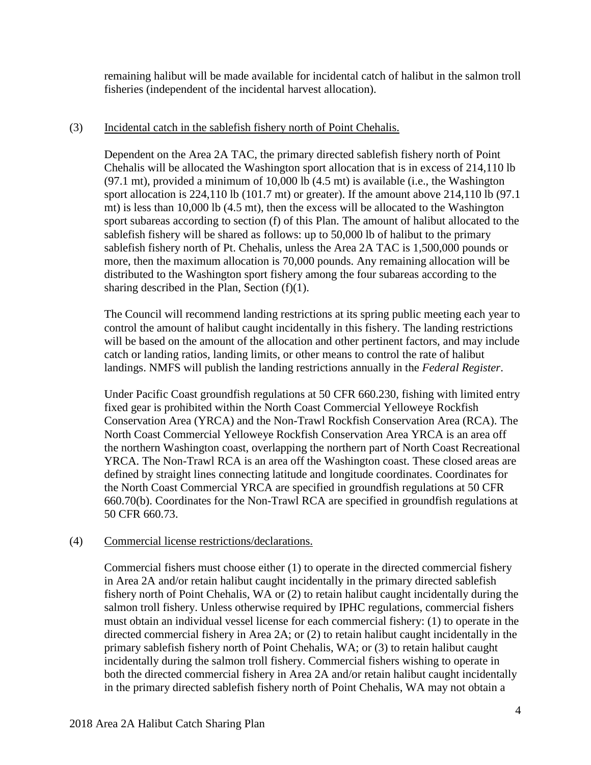remaining halibut will be made available for incidental catch of halibut in the salmon troll fisheries (independent of the incidental harvest allocation).

## (3) Incidental catch in the sablefish fishery north of Point Chehalis.

Dependent on the Area 2A TAC, the primary directed sablefish fishery north of Point Chehalis will be allocated the Washington sport allocation that is in excess of 214,110 lb (97.1 mt), provided a minimum of 10,000 lb (4.5 mt) is available (i.e., the Washington sport allocation is 224,110 lb (101.7 mt) or greater). If the amount above 214,110 lb (97.1 mt) is less than 10,000 lb (4.5 mt), then the excess will be allocated to the Washington sport subareas according to section (f) of this Plan. The amount of halibut allocated to the sablefish fishery will be shared as follows: up to 50,000 lb of halibut to the primary sablefish fishery north of Pt. Chehalis, unless the Area 2A TAC is 1,500,000 pounds or more, then the maximum allocation is 70,000 pounds. Any remaining allocation will be distributed to the Washington sport fishery among the four subareas according to the sharing described in the Plan, Section (f)(1).

The Council will recommend landing restrictions at its spring public meeting each year to control the amount of halibut caught incidentally in this fishery. The landing restrictions will be based on the amount of the allocation and other pertinent factors, and may include catch or landing ratios, landing limits, or other means to control the rate of halibut landings. NMFS will publish the landing restrictions annually in the *Federal Register*.

Under Pacific Coast groundfish regulations at 50 CFR 660.230, fishing with limited entry fixed gear is prohibited within the North Coast Commercial Yelloweye Rockfish Conservation Area (YRCA) and the Non-Trawl Rockfish Conservation Area (RCA). The North Coast Commercial Yelloweye Rockfish Conservation Area YRCA is an area off the northern Washington coast, overlapping the northern part of North Coast Recreational YRCA. The Non-Trawl RCA is an area off the Washington coast. These closed areas are defined by straight lines connecting latitude and longitude coordinates. Coordinates for the North Coast Commercial YRCA are specified in groundfish regulations at 50 CFR 660.70(b). Coordinates for the Non-Trawl RCA are specified in groundfish regulations at 50 CFR 660.73.

## (4) Commercial license restrictions/declarations.

Commercial fishers must choose either (1) to operate in the directed commercial fishery in Area 2A and/or retain halibut caught incidentally in the primary directed sablefish fishery north of Point Chehalis, WA or (2) to retain halibut caught incidentally during the salmon troll fishery. Unless otherwise required by IPHC regulations, commercial fishers must obtain an individual vessel license for each commercial fishery: (1) to operate in the directed commercial fishery in Area 2A; or (2) to retain halibut caught incidentally in the primary sablefish fishery north of Point Chehalis, WA; or (3) to retain halibut caught incidentally during the salmon troll fishery. Commercial fishers wishing to operate in both the directed commercial fishery in Area 2A and/or retain halibut caught incidentally in the primary directed sablefish fishery north of Point Chehalis, WA may not obtain a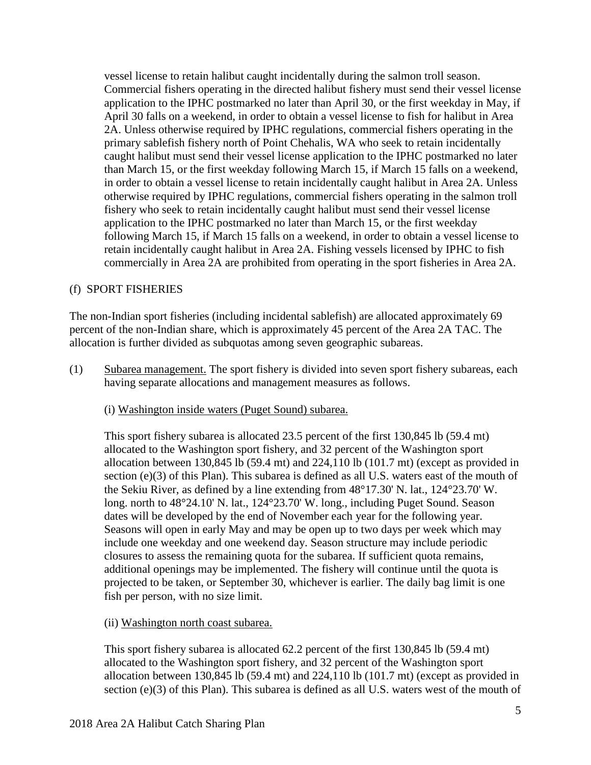vessel license to retain halibut caught incidentally during the salmon troll season. Commercial fishers operating in the directed halibut fishery must send their vessel license application to the IPHC postmarked no later than April 30, or the first weekday in May, if April 30 falls on a weekend, in order to obtain a vessel license to fish for halibut in Area 2A. Unless otherwise required by IPHC regulations, commercial fishers operating in the primary sablefish fishery north of Point Chehalis, WA who seek to retain incidentally caught halibut must send their vessel license application to the IPHC postmarked no later than March 15, or the first weekday following March 15, if March 15 falls on a weekend, in order to obtain a vessel license to retain incidentally caught halibut in Area 2A. Unless otherwise required by IPHC regulations, commercial fishers operating in the salmon troll fishery who seek to retain incidentally caught halibut must send their vessel license application to the IPHC postmarked no later than March 15, or the first weekday following March 15, if March 15 falls on a weekend, in order to obtain a vessel license to retain incidentally caught halibut in Area 2A. Fishing vessels licensed by IPHC to fish commercially in Area 2A are prohibited from operating in the sport fisheries in Area 2A.

# (f) SPORT FISHERIES

The non-Indian sport fisheries (including incidental sablefish) are allocated approximately 69 percent of the non-Indian share, which is approximately 45 percent of the Area 2A TAC. The allocation is further divided as subquotas among seven geographic subareas.

(1) Subarea management. The sport fishery is divided into seven sport fishery subareas, each having separate allocations and management measures as follows.

## (i) Washington inside waters (Puget Sound) subarea.

This sport fishery subarea is allocated 23.5 percent of the first 130,845 lb (59.4 mt) allocated to the Washington sport fishery, and 32 percent of the Washington sport allocation between 130,845 lb (59.4 mt) and  $224,110$  lb (101.7 mt) (except as provided in section (e)(3) of this Plan). This subarea is defined as all U.S. waters east of the mouth of the Sekiu River, as defined by a line extending from 48°17.30' N. lat., 124°23.70' W. long. north to 48°24.10' N. lat., 124°23.70' W. long., including Puget Sound. Season dates will be developed by the end of November each year for the following year. Seasons will open in early May and may be open up to two days per week which may include one weekday and one weekend day. Season structure may include periodic closures to assess the remaining quota for the subarea. If sufficient quota remains, additional openings may be implemented. The fishery will continue until the quota is projected to be taken, or September 30, whichever is earlier. The daily bag limit is one fish per person, with no size limit.

## (ii) Washington north coast subarea.

This sport fishery subarea is allocated 62.2 percent of the first 130,845 lb (59.4 mt) allocated to the Washington sport fishery, and 32 percent of the Washington sport allocation between 130,845 lb (59.4 mt) and 224,110 lb (101.7 mt) (except as provided in section (e)(3) of this Plan). This subarea is defined as all U.S. waters west of the mouth of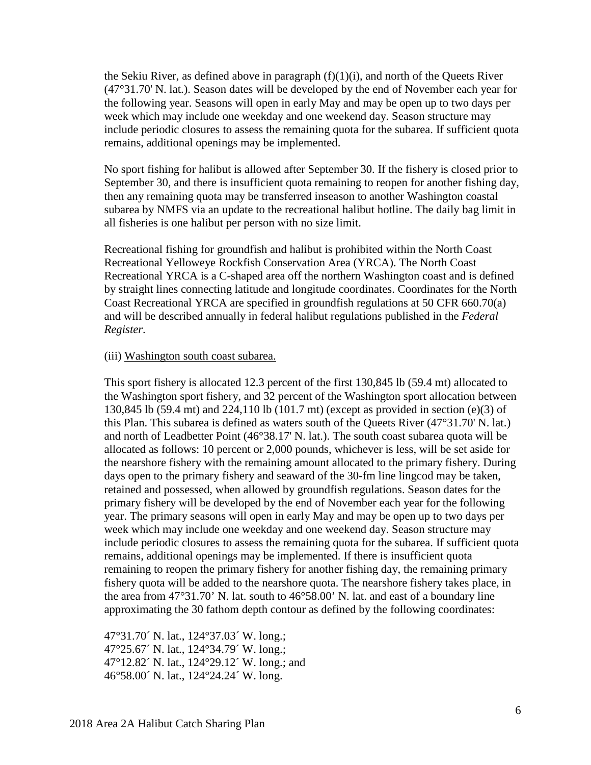the Sekiu River, as defined above in paragraph  $(f)(1)(i)$ , and north of the Queets River (47°31.70' N. lat.). Season dates will be developed by the end of November each year for the following year. Seasons will open in early May and may be open up to two days per week which may include one weekday and one weekend day. Season structure may include periodic closures to assess the remaining quota for the subarea. If sufficient quota remains, additional openings may be implemented.

No sport fishing for halibut is allowed after September 30. If the fishery is closed prior to September 30, and there is insufficient quota remaining to reopen for another fishing day, then any remaining quota may be transferred inseason to another Washington coastal subarea by NMFS via an update to the recreational halibut hotline. The daily bag limit in all fisheries is one halibut per person with no size limit.

Recreational fishing for groundfish and halibut is prohibited within the North Coast Recreational Yelloweye Rockfish Conservation Area (YRCA). The North Coast Recreational YRCA is a C-shaped area off the northern Washington coast and is defined by straight lines connecting latitude and longitude coordinates. Coordinates for the North Coast Recreational YRCA are specified in groundfish regulations at 50 CFR 660.70(a) and will be described annually in federal halibut regulations published in the *Federal Register*.

## (iii) Washington south coast subarea.

This sport fishery is allocated 12.3 percent of the first 130,845 lb (59.4 mt) allocated to the Washington sport fishery, and 32 percent of the Washington sport allocation between 130,845 lb (59.4 mt) and 224,110 lb (101.7 mt) (except as provided in section (e)(3) of this Plan. This subarea is defined as waters south of the Queets River (47°31.70' N. lat.) and north of Leadbetter Point (46°38.17' N. lat.). The south coast subarea quota will be allocated as follows: 10 percent or 2,000 pounds, whichever is less, will be set aside for the nearshore fishery with the remaining amount allocated to the primary fishery. During days open to the primary fishery and seaward of the 30-fm line lingcod may be taken, retained and possessed, when allowed by groundfish regulations. Season dates for the primary fishery will be developed by the end of November each year for the following year. The primary seasons will open in early May and may be open up to two days per week which may include one weekday and one weekend day. Season structure may include periodic closures to assess the remaining quota for the subarea. If sufficient quota remains, additional openings may be implemented. If there is insufficient quota remaining to reopen the primary fishery for another fishing day, the remaining primary fishery quota will be added to the nearshore quota. The nearshore fishery takes place, in the area from 47°31.70' N. lat. south to 46°58.00' N. lat. and east of a boundary line approximating the 30 fathom depth contour as defined by the following coordinates:

47°31.70´ N. lat., 124°37.03´ W. long.; 47°25.67´ N. lat., 124°34.79´ W. long.; 47°12.82´ N. lat., 124°29.12´ W. long.; and 46°58.00´ N. lat., 124°24.24´ W. long.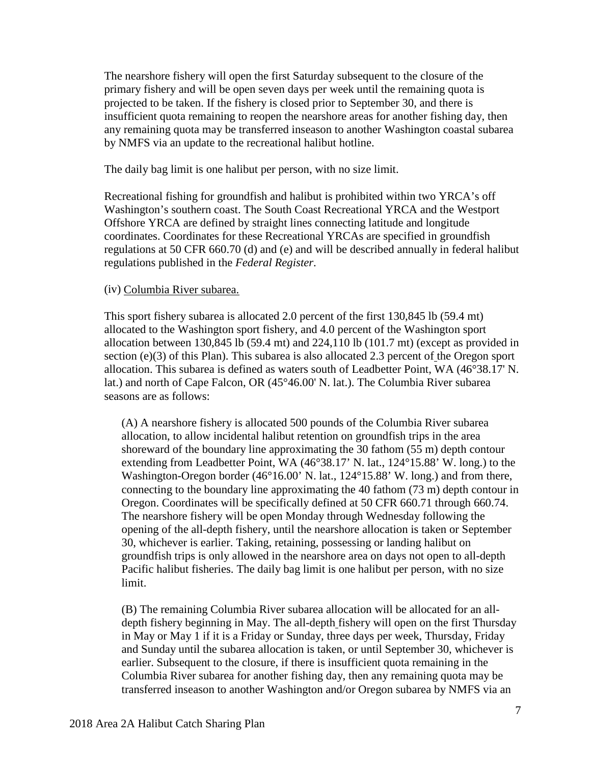The nearshore fishery will open the first Saturday subsequent to the closure of the primary fishery and will be open seven days per week until the remaining quota is projected to be taken. If the fishery is closed prior to September 30, and there is insufficient quota remaining to reopen the nearshore areas for another fishing day, then any remaining quota may be transferred inseason to another Washington coastal subarea by NMFS via an update to the recreational halibut hotline.

The daily bag limit is one halibut per person, with no size limit.

Recreational fishing for groundfish and halibut is prohibited within two YRCA's off Washington's southern coast. The South Coast Recreational YRCA and the Westport Offshore YRCA are defined by straight lines connecting latitude and longitude coordinates. Coordinates for these Recreational YRCAs are specified in groundfish regulations at 50 CFR 660.70 (d) and (e) and will be described annually in federal halibut regulations published in the *Federal Register*.

#### (iv) Columbia River subarea.

This sport fishery subarea is allocated 2.0 percent of the first 130,845 lb (59.4 mt) allocated to the Washington sport fishery, and 4.0 percent of the Washington sport allocation between 130,845 lb (59.4 mt) and 224,110 lb (101.7 mt) (except as provided in section (e)(3) of this Plan). This subarea is also allocated 2.3 percent of the Oregon sport allocation. This subarea is defined as waters south of Leadbetter Point, WA (46°38.17' N. lat.) and north of Cape Falcon, OR (45°46.00' N. lat.). The Columbia River subarea seasons are as follows:

(A) A nearshore fishery is allocated 500 pounds of the Columbia River subarea allocation, to allow incidental halibut retention on groundfish trips in the area shoreward of the boundary line approximating the 30 fathom (55 m) depth contour extending from Leadbetter Point, WA (46°38.17' N. lat., 124°15.88' W. long.) to the Washington-Oregon border (46°16.00' N. lat., 124°15.88' W. long.) and from there, connecting to the boundary line approximating the 40 fathom (73 m) depth contour in Oregon. Coordinates will be specifically defined at 50 CFR 660.71 through 660.74. The nearshore fishery will be open Monday through Wednesday following the opening of the all-depth fishery, until the nearshore allocation is taken or September 30, whichever is earlier. Taking, retaining, possessing or landing halibut on groundfish trips is only allowed in the nearshore area on days not open to all-depth Pacific halibut fisheries. The daily bag limit is one halibut per person, with no size limit.

(B) The remaining Columbia River subarea allocation will be allocated for an alldepth fishery beginning in May. The all-depth fishery will open on the first Thursday in May or May 1 if it is a Friday or Sunday, three days per week, Thursday, Friday and Sunday until the subarea allocation is taken, or until September 30, whichever is earlier. Subsequent to the closure, if there is insufficient quota remaining in the Columbia River subarea for another fishing day, then any remaining quota may be transferred inseason to another Washington and/or Oregon subarea by NMFS via an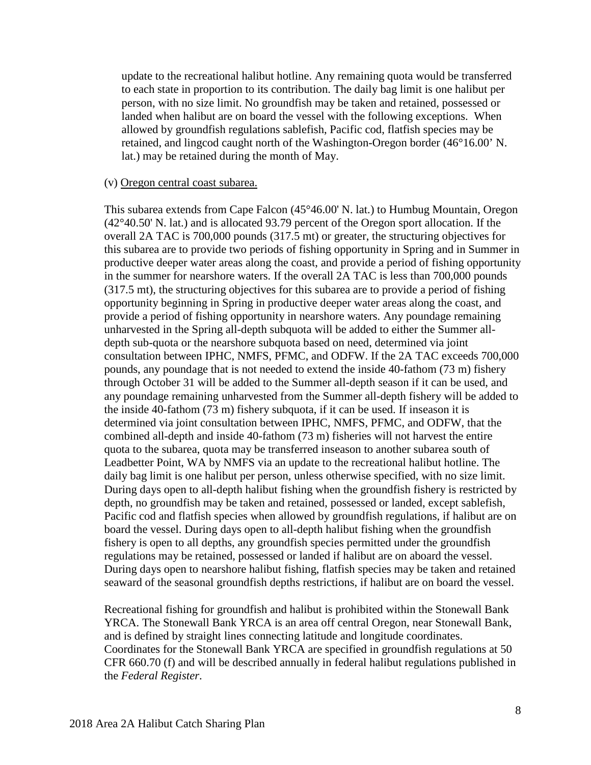update to the recreational halibut hotline. Any remaining quota would be transferred to each state in proportion to its contribution. The daily bag limit is one halibut per person, with no size limit. No groundfish may be taken and retained, possessed or landed when halibut are on board the vessel with the following exceptions. When allowed by groundfish regulations sablefish, Pacific cod, flatfish species may be retained, and lingcod caught north of the Washington-Oregon border (46°16.00' N. lat.) may be retained during the month of May.

#### (v) Oregon central coast subarea.

This subarea extends from Cape Falcon (45°46.00' N. lat.) to Humbug Mountain, Oregon (42°40.50' N. lat.) and is allocated 93.79 percent of the Oregon sport allocation. If the overall 2A TAC is 700,000 pounds (317.5 mt) or greater, the structuring objectives for this subarea are to provide two periods of fishing opportunity in Spring and in Summer in productive deeper water areas along the coast, and provide a period of fishing opportunity in the summer for nearshore waters. If the overall 2A TAC is less than 700,000 pounds (317.5 mt), the structuring objectives for this subarea are to provide a period of fishing opportunity beginning in Spring in productive deeper water areas along the coast, and provide a period of fishing opportunity in nearshore waters. Any poundage remaining unharvested in the Spring all-depth subquota will be added to either the Summer alldepth sub-quota or the nearshore subquota based on need, determined via joint consultation between IPHC, NMFS, PFMC, and ODFW. If the 2A TAC exceeds 700,000 pounds, any poundage that is not needed to extend the inside 40-fathom (73 m) fishery through October 31 will be added to the Summer all-depth season if it can be used, and any poundage remaining unharvested from the Summer all-depth fishery will be added to the inside 40-fathom (73 m) fishery subquota, if it can be used. If inseason it is determined via joint consultation between IPHC, NMFS, PFMC, and ODFW, that the combined all-depth and inside 40-fathom (73 m) fisheries will not harvest the entire quota to the subarea, quota may be transferred inseason to another subarea south of Leadbetter Point, WA by NMFS via an update to the recreational halibut hotline. The daily bag limit is one halibut per person, unless otherwise specified, with no size limit. During days open to all-depth halibut fishing when the groundfish fishery is restricted by depth, no groundfish may be taken and retained, possessed or landed, except sablefish, Pacific cod and flatfish species when allowed by groundfish regulations, if halibut are on board the vessel. During days open to all-depth halibut fishing when the groundfish fishery is open to all depths, any groundfish species permitted under the groundfish regulations may be retained, possessed or landed if halibut are on aboard the vessel. During days open to nearshore halibut fishing, flatfish species may be taken and retained seaward of the seasonal groundfish depths restrictions, if halibut are on board the vessel.

Recreational fishing for groundfish and halibut is prohibited within the Stonewall Bank YRCA. The Stonewall Bank YRCA is an area off central Oregon, near Stonewall Bank, and is defined by straight lines connecting latitude and longitude coordinates. Coordinates for the Stonewall Bank YRCA are specified in groundfish regulations at 50 CFR 660.70 (f) and will be described annually in federal halibut regulations published in the *Federal Register*.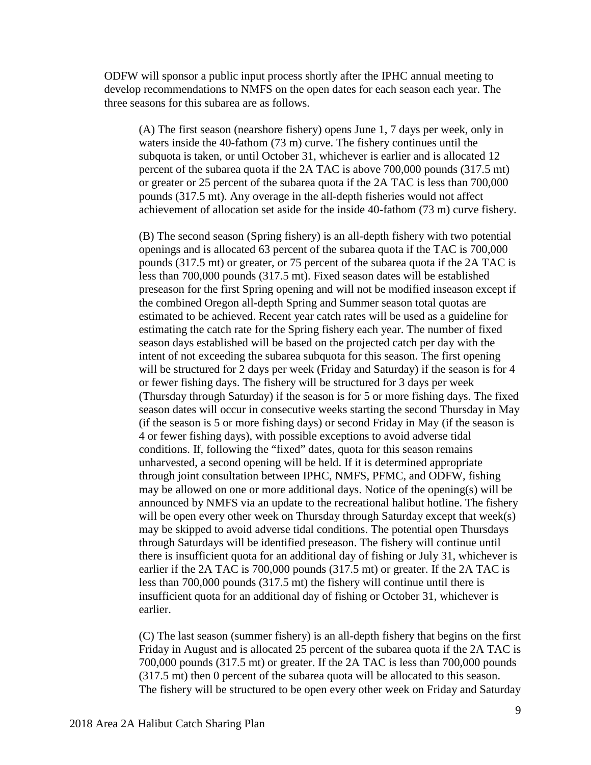ODFW will sponsor a public input process shortly after the IPHC annual meeting to develop recommendations to NMFS on the open dates for each season each year. The three seasons for this subarea are as follows.

(A) The first season (nearshore fishery) opens June 1, 7 days per week, only in waters inside the 40-fathom (73 m) curve. The fishery continues until the subquota is taken, or until October 31, whichever is earlier and is allocated 12 percent of the subarea quota if the 2A TAC is above 700,000 pounds (317.5 mt) or greater or 25 percent of the subarea quota if the 2A TAC is less than 700,000 pounds (317.5 mt). Any overage in the all-depth fisheries would not affect achievement of allocation set aside for the inside 40-fathom (73 m) curve fishery.

(B) The second season (Spring fishery) is an all-depth fishery with two potential openings and is allocated 63 percent of the subarea quota if the TAC is 700,000 pounds (317.5 mt) or greater, or 75 percent of the subarea quota if the 2A TAC is less than 700,000 pounds (317.5 mt). Fixed season dates will be established preseason for the first Spring opening and will not be modified inseason except if the combined Oregon all-depth Spring and Summer season total quotas are estimated to be achieved. Recent year catch rates will be used as a guideline for estimating the catch rate for the Spring fishery each year. The number of fixed season days established will be based on the projected catch per day with the intent of not exceeding the subarea subquota for this season. The first opening will be structured for 2 days per week (Friday and Saturday) if the season is for 4 or fewer fishing days. The fishery will be structured for 3 days per week (Thursday through Saturday) if the season is for 5 or more fishing days. The fixed season dates will occur in consecutive weeks starting the second Thursday in May (if the season is 5 or more fishing days) or second Friday in May (if the season is 4 or fewer fishing days), with possible exceptions to avoid adverse tidal conditions. If, following the "fixed" dates, quota for this season remains unharvested, a second opening will be held. If it is determined appropriate through joint consultation between IPHC, NMFS, PFMC, and ODFW, fishing may be allowed on one or more additional days. Notice of the opening(s) will be announced by NMFS via an update to the recreational halibut hotline. The fishery will be open every other week on Thursday through Saturday except that week(s) may be skipped to avoid adverse tidal conditions. The potential open Thursdays through Saturdays will be identified preseason. The fishery will continue until there is insufficient quota for an additional day of fishing or July 31, whichever is earlier if the 2A TAC is 700,000 pounds (317.5 mt) or greater. If the 2A TAC is less than 700,000 pounds (317.5 mt) the fishery will continue until there is insufficient quota for an additional day of fishing or October 31, whichever is earlier.

(C) The last season (summer fishery) is an all-depth fishery that begins on the first Friday in August and is allocated 25 percent of the subarea quota if the 2A TAC is 700,000 pounds (317.5 mt) or greater. If the 2A TAC is less than 700,000 pounds (317.5 mt) then 0 percent of the subarea quota will be allocated to this season. The fishery will be structured to be open every other week on Friday and Saturday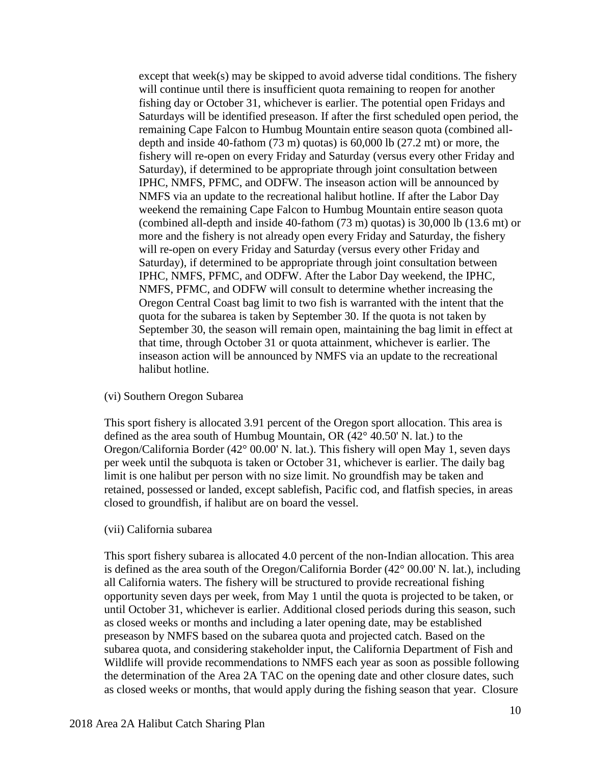except that week(s) may be skipped to avoid adverse tidal conditions. The fishery will continue until there is insufficient quota remaining to reopen for another fishing day or October 31, whichever is earlier. The potential open Fridays and Saturdays will be identified preseason. If after the first scheduled open period, the remaining Cape Falcon to Humbug Mountain entire season quota (combined alldepth and inside 40-fathom (73 m) quotas) is 60,000 lb (27.2 mt) or more, the fishery will re-open on every Friday and Saturday (versus every other Friday and Saturday), if determined to be appropriate through joint consultation between IPHC, NMFS, PFMC, and ODFW. The inseason action will be announced by NMFS via an update to the recreational halibut hotline. If after the Labor Day weekend the remaining Cape Falcon to Humbug Mountain entire season quota (combined all-depth and inside 40-fathom (73 m) quotas) is 30,000 lb (13.6 mt) or more and the fishery is not already open every Friday and Saturday, the fishery will re-open on every Friday and Saturday (versus every other Friday and Saturday), if determined to be appropriate through joint consultation between IPHC, NMFS, PFMC, and ODFW. After the Labor Day weekend, the IPHC, NMFS, PFMC, and ODFW will consult to determine whether increasing the Oregon Central Coast bag limit to two fish is warranted with the intent that the quota for the subarea is taken by September 30. If the quota is not taken by September 30, the season will remain open, maintaining the bag limit in effect at that time, through October 31 or quota attainment, whichever is earlier. The inseason action will be announced by NMFS via an update to the recreational halibut hotline.

#### (vi) Southern Oregon Subarea

This sport fishery is allocated 3.91 percent of the Oregon sport allocation. This area is defined as the area south of Humbug Mountain, OR (42° 40.50' N. lat.) to the Oregon/California Border (42° 00.00' N. lat.). This fishery will open May 1, seven days per week until the subquota is taken or October 31, whichever is earlier. The daily bag limit is one halibut per person with no size limit. No groundfish may be taken and retained, possessed or landed, except sablefish, Pacific cod, and flatfish species, in areas closed to groundfish, if halibut are on board the vessel.

#### (vii) California subarea

This sport fishery subarea is allocated 4.0 percent of the non-Indian allocation. This area is defined as the area south of the Oregon/California Border (42° 00.00' N. lat.), including all California waters. The fishery will be structured to provide recreational fishing opportunity seven days per week, from May 1 until the quota is projected to be taken, or until October 31, whichever is earlier. Additional closed periods during this season, such as closed weeks or months and including a later opening date, may be established preseason by NMFS based on the subarea quota and projected catch. Based on the subarea quota, and considering stakeholder input, the California Department of Fish and Wildlife will provide recommendations to NMFS each year as soon as possible following the determination of the Area 2A TAC on the opening date and other closure dates, such as closed weeks or months, that would apply during the fishing season that year. Closure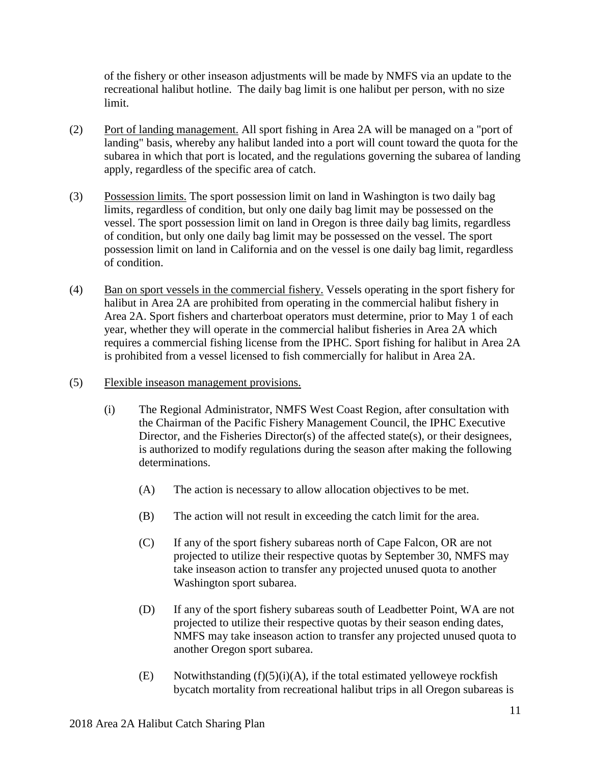of the fishery or other inseason adjustments will be made by NMFS via an update to the recreational halibut hotline. The daily bag limit is one halibut per person, with no size limit.

- (2) Port of landing management. All sport fishing in Area 2A will be managed on a "port of landing" basis, whereby any halibut landed into a port will count toward the quota for the subarea in which that port is located, and the regulations governing the subarea of landing apply, regardless of the specific area of catch.
- (3) Possession limits. The sport possession limit on land in Washington is two daily bag limits, regardless of condition, but only one daily bag limit may be possessed on the vessel. The sport possession limit on land in Oregon is three daily bag limits, regardless of condition, but only one daily bag limit may be possessed on the vessel. The sport possession limit on land in California and on the vessel is one daily bag limit, regardless of condition.
- (4) Ban on sport vessels in the commercial fishery. Vessels operating in the sport fishery for halibut in Area 2A are prohibited from operating in the commercial halibut fishery in Area 2A. Sport fishers and charterboat operators must determine, prior to May 1 of each year, whether they will operate in the commercial halibut fisheries in Area 2A which requires a commercial fishing license from the IPHC. Sport fishing for halibut in Area 2A is prohibited from a vessel licensed to fish commercially for halibut in Area 2A.
- (5) Flexible inseason management provisions.
	- (i) The Regional Administrator, NMFS West Coast Region, after consultation with the Chairman of the Pacific Fishery Management Council, the IPHC Executive Director, and the Fisheries Director(s) of the affected state(s), or their designees, is authorized to modify regulations during the season after making the following determinations.
		- (A) The action is necessary to allow allocation objectives to be met.
		- (B) The action will not result in exceeding the catch limit for the area.
		- (C) If any of the sport fishery subareas north of Cape Falcon, OR are not projected to utilize their respective quotas by September 30, NMFS may take inseason action to transfer any projected unused quota to another Washington sport subarea.
		- (D) If any of the sport fishery subareas south of Leadbetter Point, WA are not projected to utilize their respective quotas by their season ending dates, NMFS may take inseason action to transfer any projected unused quota to another Oregon sport subarea.
		- (E) Notwithstanding  $(f)(5)(i)(A)$ , if the total estimated yelloweye rockfish bycatch mortality from recreational halibut trips in all Oregon subareas is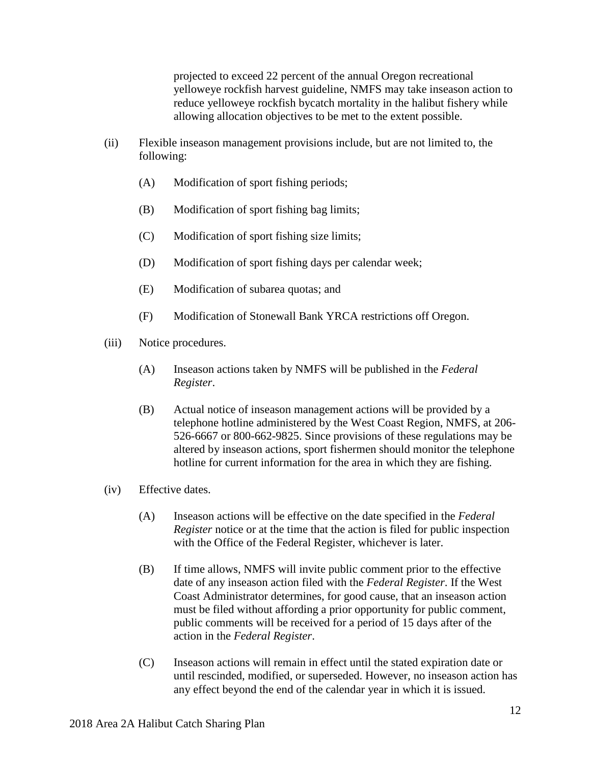projected to exceed 22 percent of the annual Oregon recreational yelloweye rockfish harvest guideline, NMFS may take inseason action to reduce yelloweye rockfish bycatch mortality in the halibut fishery while allowing allocation objectives to be met to the extent possible.

- (ii) Flexible inseason management provisions include, but are not limited to, the following:
	- (A) Modification of sport fishing periods;
	- (B) Modification of sport fishing bag limits;
	- (C) Modification of sport fishing size limits;
	- (D) Modification of sport fishing days per calendar week;
	- (E) Modification of subarea quotas; and
	- (F) Modification of Stonewall Bank YRCA restrictions off Oregon.
- (iii) Notice procedures.
	- (A) Inseason actions taken by NMFS will be published in the *Federal Register*.
	- (B) Actual notice of inseason management actions will be provided by a telephone hotline administered by the West Coast Region, NMFS, at 206- 526-6667 or 800-662-9825. Since provisions of these regulations may be altered by inseason actions, sport fishermen should monitor the telephone hotline for current information for the area in which they are fishing.
- (iv) Effective dates.
	- (A) Inseason actions will be effective on the date specified in the *Federal Register* notice or at the time that the action is filed for public inspection with the Office of the Federal Register, whichever is later.
	- (B) If time allows, NMFS will invite public comment prior to the effective date of any inseason action filed with the *Federal Register*. If the West Coast Administrator determines, for good cause, that an inseason action must be filed without affording a prior opportunity for public comment, public comments will be received for a period of 15 days after of the action in the *Federal Register*.
	- (C) Inseason actions will remain in effect until the stated expiration date or until rescinded, modified, or superseded. However, no inseason action has any effect beyond the end of the calendar year in which it is issued.